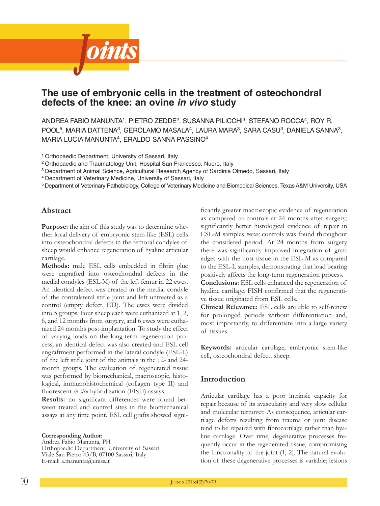

# **The use of embryonic cells in the treatment of osteochondral defects of the knee: an ovine** *in vivo* **study**

 $A$ NDREA FABIO MANUNTA $^1$ , PIETRO ZEDDE $^2$ , SUSANNA PILICCHI $^3$ , STEFANO ROCCA $^4$ , ROY R. POOL<sup>5</sup>, MARIA DATTENA<sup>3</sup>, GEROLAMO MASALA<sup>4</sup>, LAURA MARA<sup>3</sup>, SARA CASU<sup>3</sup>, DANIELA SANNA<sup>3</sup>, MarIa luCIa MaNuNta4, eralDO SaNNa PaSSINO4

<sup>1</sup> Orthopaedic Department, University of Sassari, Italy

<sup>2</sup> Orthopaedic and Traumatology Unit, Hospital San Francesco, Nuoro, Italy

<sup>3</sup> Department of Animal Science, Agricultural Research Agency of Sardinia Olmedo, Sassari, Italy

<sup>4</sup> Department of Veterinary Medicine, University of Sassari, Italy

<sup>5</sup> Department of Veterinary Pathobiology, College of Veterinary Medicine and Biomedical Sciences, texas a&M university, uSa

# **Abstract**

**Purpose:** the aim of this study was to determine whether local delivery of embryonic stem-like (EsL) cells into osteochondral defects in the femoral condyles of sheep would enhance regeneration of hyaline articular cartilage.

**Methods:** male EsL cells embedded in fibrin glue were engrafted into osteochondral defects in the medial condyles (EsL-M) of the left femur in 22 ewes. An identical defect was created in the medial condyle of the contralateral stifle joint and left untreated as a control (empty defect, ED). The ewes were divided into 5 groups. Four sheep each were euthanized at 1, 2, 6, and 12 months from surgery, and 6 ewes were euthanized 24 months post-implantation. To study the effect of varying loads on the long-term regeneration process, an identical defect was also created and EsL cell engraftment performed in the lateral condyle (EsL-L) of the left stifle joint of the animals in the 12- and 24 month groups. The evaluation of regenerated tissue was performed by biomechanical, macroscopic, histological, immunohistochemical (collagen type II) and fluorescent *in situ* hybridization (FisH) assays.

**Results:** no significant differences were found between treated and control sites in the biomechanical assays at any time point. EsL cell grafts showed signi-

**Corresponding Author:** Andrea Fabio Manunta, PH Orthopaedic Department, University of Sassari Viale San Pietro 43/B, 07100 Sassari, Italy E-mail: a.manunta@uniss.it

ficantly greater macroscopic evidence of regeneration as compared to controls at 24 months after surgery; significantly better histological evidence of repair in EsL-M samples *versus* controls was found throughout the considered period. At 24 months from surgery there was significantly improved integration of graft edges with the host tissue in the EsL-M as compared to the EsL-L samples, demonstrating that load bearing positively affects the long-term regeneration process.

**Conclusions:** EsL cells enhanced the regeneration of hyaline cartilage. FisH confirmed that the regenerative tissue originated from EsL cells.

**Clinical Relevance:** EsL cells are able to self-renew for prolonged periods without differentiation and, most importantly, to differentiate into a large variety of tissues.

**Keywords:** articular cartilage, embryonic stem-like cell, osteochondral defect, sheep.

# **Introduction**

Articular cartilage has a poor intrinsic capacity for repair because of its avascularity and very slow cellular and molecular turnover. As consequence, articular cartilage defects resulting from trauma or joint disease tend to be repaired with fibrocartilage rather than hyaline cartilage. Over time, degenerative processes frequently occur in the regenerated tissue, compromising the functionality of the joint  $(1, 2)$ . The natural evolution of these degenerative processes is variable; lesions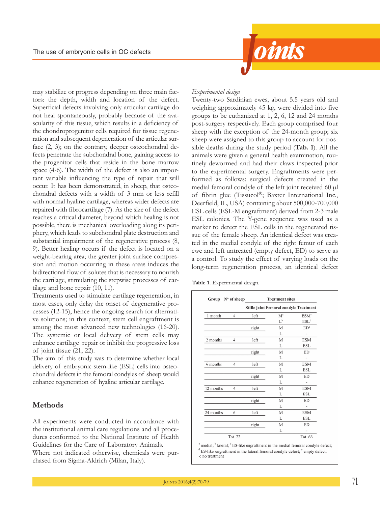

may stabilize or progress depending on three main factors: the depth, width and location of the defect. superficial defects involving only articular cartilage do not heal spontaneously, probably because of the avascularity of this tissue, which results in a deficiency of the chondroprogenitor cells required for tissue regeneration and subsequent degeneration of the articular surface (2, 3); on the contrary, deeper osteochondral defects penetrate the subchondral bone, gaining access to the progenitor cells that reside in the bone marrow space (4-6). The width of the defect is also an important variable influencing the type of repair that will occur. it has been demonstrated, in sheep, that osteochondral defects with a width of 3 mm or less refill with normal hyaline cartilage, whereas wider defects are repaired with fibrocartilage (7). As the size of the defect reaches a critical diameter, beyond which healing is not possible, there is mechanical overloading along its periphery, which leads to subchondral plate destruction and substantial impairment of the regenerative process (8, 9). Better healing occurs if the defect is located on a weight-bearing area; the greater joint surface compression and motion occurring in these areas induces the bidirectional flow of solutes that is necessary to nourish the cartilage, stimulating the stepwise processes of cartilage and bone repair (10, 11).

Treatments used to stimulate cartilage regeneration, in most cases, only delay the onset of degenerative processes (12-15), hence the ongoing search for alternative solutions; in this context, stem cell engraftment is among the most advanced new technologies (16-20). The systemic or local delivery of stem cells may enhance cartilage repair or inhibit the progressive loss of joint tissue (21, 22).

The aim of this study was to determine whether local delivery of embryonic stem-like (EsL) cells into osteochondral defects in the femoral condyles of sheep would enhance regeneration of hyaline articular cartilage.

# **Methods**

All experiments were conducted in accordance with the institutional animal care regulations and all procedures conformed to the National Institute of Health Guidelines for the Care of Laboratory Animals. Where not indicated otherwise, chemicals were purchased from Sigma-Aldrich (Milan, Italy).

### *Experimental design*

Twenty-two Sardinian ewes, about 5.5 years old and weighing approximately 45 kg, were divided into five groups to be euthanized at 1, 2, 6, 12 and 24 months post-surgery respectively. Each group comprised four sheep with the exception of the 24-month group; six sheep were assigned to this group to account for possible deaths during the study period (**Tab. 1**). All the animals were given a general health examination, routinely dewormed and had their claws inspected prior to the experimental surgery. Engraftments were performed as follows: surgical defects created in the medial femoral condyle of the left joint received 60 µl of fibrin glue (Tissucol®; Baxter International Inc., Deerfield, iL, UsA) containing about 500,000-700,000 EsL cells (EsL-M engraftment) derived from 2-3 male ESL colonies. The Y-gene sequence was used as a marker to detect the EsL cells in the regenerated tissue of the female sheep. An identical defect was created in the medial condyle of the right femur of each ewe and left untreated (empty defect, ED) to serve as a control. To study the effect of varying loads on the long-term regeneration process, an identical defect

**Table 1.** Experimental design.

| Group     | N° of sheep | <b>Treatment sites</b><br><b>Stifle joint Femoral condyle Treatment</b> |       |                              |  |  |
|-----------|-------------|-------------------------------------------------------------------------|-------|------------------------------|--|--|
|           |             |                                                                         |       |                              |  |  |
| 1 month   | 4           | left                                                                    | $M^a$ | <b>ESM<sup>c</sup></b>       |  |  |
|           |             |                                                                         | $L^b$ | ESL <sup>d</sup>             |  |  |
|           |             | right                                                                   | M     | ED <sup>e</sup>              |  |  |
|           |             |                                                                         | L     | $\overline{a}$               |  |  |
| 2 months  | 4           | left                                                                    | M     | <b>ESM</b>                   |  |  |
|           |             |                                                                         | L     | <b>ESL</b>                   |  |  |
|           |             | right                                                                   | M     | ED                           |  |  |
|           |             |                                                                         | L     | ÷                            |  |  |
| 6 months  | 4           | left                                                                    | M     | <b>ESM</b>                   |  |  |
|           |             |                                                                         | L     | <b>ESL</b>                   |  |  |
|           |             | right                                                                   | M     | ED                           |  |  |
|           |             |                                                                         | L     | $\overline{a}$               |  |  |
| 12 months | 4           | left                                                                    | M     | <b>ESM</b>                   |  |  |
|           |             |                                                                         | L     | <b>ESL</b>                   |  |  |
|           |             | right                                                                   | M     | ED                           |  |  |
|           |             |                                                                         | L     | $\qquad \qquad \blacksquare$ |  |  |
| 24 months | 6           | left                                                                    | M     | <b>ESM</b>                   |  |  |
|           |             |                                                                         | L     | <b>ESL</b>                   |  |  |
|           |             | right                                                                   | M     | ED                           |  |  |
|           |             |                                                                         | L     | $\overline{a}$               |  |  |
|           | Tot. 22     |                                                                         |       | Tot. 66                      |  |  |

medial; <sup>b</sup> lateral; <sup>c</sup> ES-like engraftment in the medial femoral condyle defect; <sup>d</sup> ES-like engraftment in the lateral femoral condyle defect; <sup>e</sup> empty defect. -: no treatment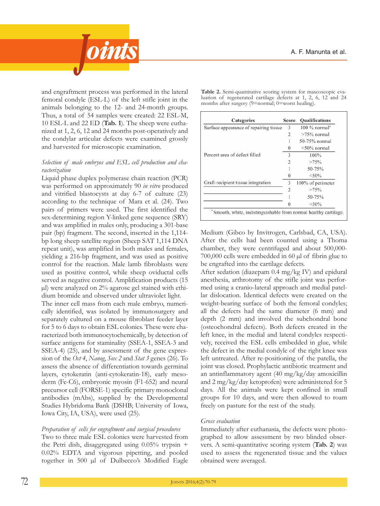

and engraftment process was performed in the lateral femoral condyle (EsL-L) of the left stifle joint in the animals belonging to the 12- and 24-month groups. Thus, a total of 54 samples were created: 22 ESL-M, 10 ESL-L and 22 ED (Tab. 1). The sheep were euthanized at 1, 2, 6, 12 and 24 months post-operatively and the condylar articular defects were examined grossly and harvested for microscopic examination.

# *Selection of male embryos and ESL cell production and characterization*

Liquid phase duplex polymerase chain reaction (PCR) was performed on approximately 90 *in vitro* produced and vitrified blastocysts at day 6-7 of culture (23) according to the technique of Mara et al.  $(24)$ . Two pairs of primers were used. The first identified the sex-determining region Y-linked gene sequence (SRY) and was amplified in males only, producing a 301-base pair (bp) fragment. The second, inserted in the 1,114bp long sheep satellite region (Sheep SAT 1,114 DNA repeat unit), was amplified in both males and females, yielding a 216-bp fragment, and was used as positive control for the reaction. Male lamb fibroblasts were used as positive control, while sheep oviductal cells served as negative control. Amplification products (15 µl) were analyzed on 2% agarose gel stained with ethidium bromide and observed under ultraviolet light.

The inner cell mass from each male embryo, numerically identified, was isolated by immunosurgery and separately cultured on a mouse fibroblast feeder layer for 5 to 6 days to obtain ESL colonies. These were characterized both immunocytochemically, by detection of surface antigens for staminality (SSEA-1, SSEA-3 and SSEA-4) (25), and by assessment of the gene expression of the *Oct 4*, *Nanog*, *Sox 2* and *Stat 3* genes (26). to assess the absence of differentiation towards germinal layers, cytokeratin (anti-cytokeratin-18), early mesoderm (Fe-C6), embryonic myosin (F1-652) and neural precursor cell (FoRsE-1) specific primary monoclonal antibodies (mAbs), supplied by the Developmental Studies Hybridoma Bank (DSHB; University of Iowa, Iowa City, IA, USA), were used (25).

### *Preparation of cells for engraftment and surgical procedures*

Two to three male ESL colonies were harvested from the Petri dish, disaggregated using  $0.05\%$  trypsin + 0.02% EDTA and vigorous pipetting, and pooled together in 500 µl of Dulbecco's Modified Eagle

| Categories                             | <b>Score</b>   | <b>Qualifications</b>       |
|----------------------------------------|----------------|-----------------------------|
| Surface appearance of repairing tissue | 3              | $100\%$ normal <sup>a</sup> |
|                                        | $\overline{2}$ | $>75\%$ normal              |
|                                        |                | 50-75% normal               |
|                                        |                | $<$ 50% normal              |
| Percent area of defect filled          | 3              | 100%                        |
|                                        | $\mathfrak{D}$ | >75%                        |
|                                        |                | 50-75%                      |
|                                        |                | < 50%                       |
| Graft-recipient tissue integration     | 3              | 100% of perimeter           |
|                                        | フ              | >75%                        |
|                                        |                | 50-75%                      |
|                                        |                | $<$ 50%                     |

Table 2. Semi-quantitative scoring system for mascoscopic evaluation of regenerated cartilage defects at 1, 2, 6, 12 and 24

months after surgery (9=normal; 0=worst healing).

<sup>a</sup> Smooth, white, indistinguishable from normal healthy cartilage.

Medium (Gibco by invitrogen, Carlsbad, CA, UsA). After the cells had been counted using a Thoma chamber, they were centrifuged and about 500,000- 700,000 cells were embedded in 60 µl of fibrin glue to be engrafted into the cartilage defects.

After sedation (diazepam 0.4 mg/kg IV) and epidural anesthesia, arthrotomy of the stifle joint was performed using a cranio-lateral approach and medial patellar dislocation. Identical defects were created on the weight-bearing surface of both the femoral condyles; all the defects had the same diameter (6 mm) and depth (2 mm) and involved the subchondral bone (osteochondral defects). Both defects created in the left knee, in the medial and lateral condyles respectively, received the EsL cells embedded in glue, while the defect in the medial condyle of the right knee was left untreated. After re-positioning of the patella, the joint was closed. Prophylactic antibiotic treatment and an antinflammatory agent (40 mg/kg/day amoxicillin and 2 mg/kg/day ketoprofen) were administered for 5 days. All the animals were kept confined in small groups for 10 days, and were then allowed to roam freely on pasture for the rest of the study.

### *Gross evaluation*

Immediately after euthanasia, the defects were photographed to allow assessment by two blinded observers. A semi-quantitative scoring system (**Tab. 2**) was used to assess the regenerated tissue and the values obtained were averaged.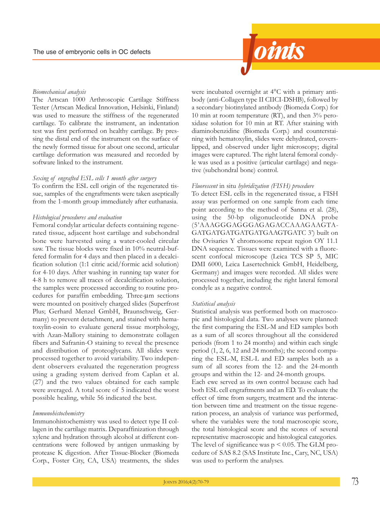

#### *Biomechanical analysis*

The Artscan 1000 Arthroscopic Cartilage Stiffness Tester (Artscan Medical Innovation, Helsinki, Finland) was used to measure the stiffness of the regenerated cartilage. To calibrate the instrument, an indentation test was first performed on healthy cartilage. By pressing the distal end of the instrument on the surface of the newly formed tissue for about one second, articular cartilage deformation was measured and recorded by software linked to the instrument.

#### *Sexing of engrafted ESL cells 1 month after surgery*

To confirm the ESL cell origin of the regenerated tissue, samples of the engraftments were taken aseptically from the 1-month group immediately after euthanasia.

#### *Histological procedures and evaluation*

Femoral condylar articular defects containing regenerated tissue, adjacent host cartilage and subchondral bone were harvested using a water-cooled circular saw. The tissue blocks were fixed in 10% neutral-buffered formalin for 4 days and then placed in a decalcification solution (1:1 citric acid/formic acid solution) for 4-10 days. After washing in running tap water for 4-8 h to remove all traces of decalcification solution, the samples were processed according to routine procedures for paraffin embedding. Three-um sections were mounted on positively charged slides (Superfrost Plus; Gerhard Menzel GmbH, Braunschweig, Germany) to prevent detachment, and stained with hematoxylin-eosin to evaluate general tissue morphology, with Azan-Mallory staining to demonstrate collagen fibers and Safranin-O staining to reveal the presence and distribution of proteoglycans. All slides were processed together to avoid variability. Two independent observers evaluated the regeneration progress using a grading system derived from Caplan et al. (27) and the two values obtained for each sample were averaged. A total score of 5 indicated the worst possible healing, while 56 indicated the best.

#### *Immunohistochemistry*

Immunohistochemistry was used to detect type II collagen in the cartilage matrix. Deparaffinization through xylene and hydration through alcohol at different concentrations were followed by antigen unmasking by protease K digestion. After Tissue-Blocker (Biomeda Corp., Foster City, CA, UsA) treatments, the slides were incubated overnight at 4°C with a primary antibody (anti-Collagen type ii CiiCi-DsHB), followed by a secondary biotinylated antibody (Biomeda Corp.) for 10 min at room temperature (RT), and then  $3\%$  peroxidase solution for 10 min at RT. After staining with diaminobenzidine (Biomeda Corp.) and counterstaining with hematoxylin, slides were dehydrated, coverslipped, and observed under light microscopy; digital images were captured. The right lateral femoral condyle was used as a positive (articular cartilage) and negative (subchondral bone) control.

#### *Fluorescent* in situ *hybridization (FISH) procedure*

To detect ESL cells in the regenerated tissue, a FISH assay was performed on one sample from each time point according to the method of sanna et al. (28), using the 50-bp oligonucleotide DnA probe (5'AAAGGGAGGGAGAGACCAAAGAAGtA-GATGATGATGATGAAGTGATC 3') built on the Ovisaries Y chromosome repeat region OY 11.1 DNA sequence. Tissues were examined with a fluorescent confocal microscope (Leica TCS SP 5, MIC DMi 6000, Leica Lasertechnick GmbH, Heidelberg, Germany) and images were recorded. All slides were processed together, including the right lateral femoral condyle as a negative control.

#### *Statistical analysis*

statistical analysis was performed both on macroscopic and histological data. Two analyses were planned: the first comparing the EsL-M and ED samples both as a sum of all scores throughout all the considered periods (from 1 to 24 months) and within each single period (1, 2, 6, 12 and 24 months); the second comparing the EsL-M, EsL-L and ED samples both as a sum of all scores from the 12- and the 24-month groups and within the 12- and 24-month groups. Each ewe served as its own control because each had both ESL cell engraftments and an ED. To evaluate the effect of time from surgery, treatment and the interaction between time and treatment on the tissue regeneration process, an analysis of variance was performed, where the variables were the total macroscopic score, the total histological score and the scores of several representative macroscopic and histological categories. The level of significance was  $p < 0.05$ . The GLM procedure of sAs 8.2 (sAs institute inc., Cary, nC, UsA) was used to perform the analyses.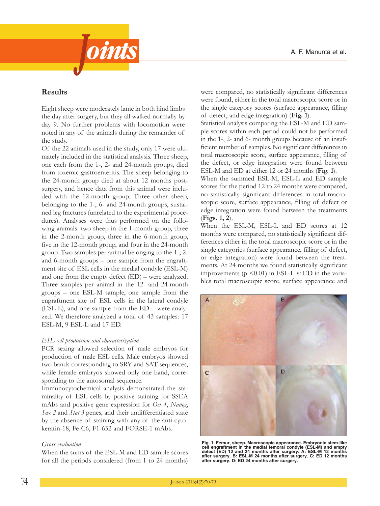

# **Results**

Eight sheep were moderately lame in both hind limbs the day after surgery, but they all walked normally by day 9. No further problems with locomotion were noted in any of the animals during the remainder of the study.

of the 22 animals used in the study, only 17 were ultimately included in the statistical analysis. Three sheep, one each from the 1-, 2- and 24-month groups, died from toxemic gastroenteritis. The sheep belonging to the 24-month group died at about 12 months postsurgery, and hence data from this animal were included with the 12-month group. Three other sheep, belonging to the 1-, 6- and 24-month groups, sustained leg fractures (unrelated to the experimental procedures). Analyses were thus performed on the following animals: two sheep in the 1-month group, three in the 2-month group, three in the 6-month group, five in the 12-month group, and four in the 24-month group. Two samples per animal belonging to the 1-, 2and 6-month groups – one sample from the engraftment site of EsL cells in the medial condyle (EsL-M) and one from the empty defect (ED) – were analyzed. Three samples per animal in the 12- and 24-month groups – one EsL-M sample, one sample from the engraftment site of EsL cells in the lateral condyle (EsL-L), and one sample from the ED – were analyzed. We therefore analyzed a total of 43 samples: 17 EsL-M, 9 EsL-L and 17 ED.

### *ESL cell production and characterization*

PCR sexing allowed selection of male embryos for production of male EsL cells. Male embryos showed two bands corresponding to SRY and SAT sequences, while female embryos showed only one band, corresponding to the autosomal sequence.

Immunocytochemical analysis demonstrated the staminality of EsL cells by positive staining for ssEA mAbs and positive gene expression for *Oct 4*, *Nanog*, *Sox 2* and *Stat 3* genes, and their undifferentiated state by the absence of staining with any of the anti-cytokeratin-18, Fe-C6, F1-652 and FoRsE-1 mAbs.

### *Gross evaluation*

When the sums of the EsL-M and ED sample scores for all the periods considered (from 1 to 24 months)

were compared, no statistically significant differences were found, either in the total macroscopic score or in the single category scores (surface appearance, filling of defect, and edge integration) (**Fig. 1**).

statistical analysis comparing the EsL-M and ED sample scores within each period could not be performed in the 1-, 2- and 6- month groups because of an insufficient number of samples. No significant differences in total macroscopic score, surface appearance, filling of the defect, or edge integration were found between EsL-M and ED at either 12 or 24 months (**Fig. 1**).

When the summed EsL-M, EsL-L and ED sample scores for the period 12 to 24 months were compared, no statistically significant differences in total macroscopic score, surface appearance, filling of defect or edge integration were found between the treatments (**Figs. 1, 2**).

When the EsL-M, EsL-L and ED scores at 12 months were compared, no statistically significant differences either in the total macroscopic score or in the single categories (surface appearance, filling of defect, or edge integration) were found between the treatments. At 24 months we found statistically significant improvements (p <0.01) in EsL-L *vs* ED in the variables total macroscopic score, surface appearance and



Fig. 1. Femur, sheep. Macroscopic appearance. Embryonic stem-like<br>cell engraftment in the medial femoral condyle (ESL-M) and empty defect (ED) 12 and 24 months after surgery. A: ESL-M 12 months<br>after surgery. B: ESL-M 24 months after surgery. C: ED 12 months<br>after surgery. D: ED 24 months after surgery.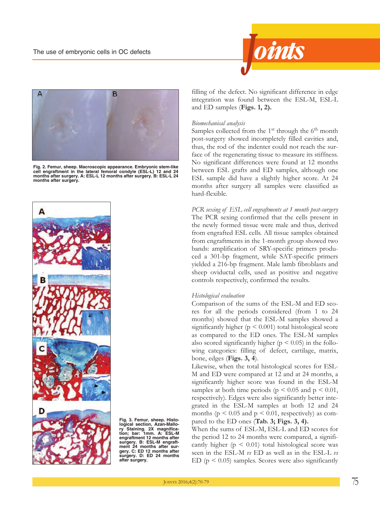



Fig. 2. Femur, sheep. Macroscopic appearance. Embryonic stem-like<br>cell engraftment in the lateral femoral condyle (ESL-L) 12 and 24 **months after surgery. A: ESL-L 12 months after surgery. B: ESL-L 24 months after surgery.**



**Fig. 3. Femur, sheep. Histological section, Azan-Mallo-ry Staining. 2X magnifica-tion; bar: 1mm. A: ESL-M engraftment 12 months after surgery. B: ESL-M engraft-ment 24 months after surgery. C: ED 12 months after surgery. D: ED 24 months after surgery.**

filling of the defect. No significant difference in edge integration was found between the EsL-M, EsL-L and ED samples (**Figs. 1, 2).**

#### *Biomechanical analysis*

Samples collected from the  $1<sup>st</sup>$  through the  $6<sup>th</sup>$  month post-surgery showed incompletely filled cavities and, thus, the rod of the indenter could not reach the surface of the regenerating tissue to measure its stiffness. No significant differences were found at 12 months between EsL grafts and ED samples, although one EsL sample did have a slightly higher score. At 24 months after surgery all samples were classified as hard-flexible.

*PCR sexing of ESL cell engraftments at 1 month post-surgery* The PCR sexing confirmed that the cells present in the newly formed tissue were male and thus, derived from engrafted EsL cells. All tissue samples obtained from engraftments in the 1-month group showed two bands: amplification of sRY-specific primers produced a 301-bp fragment, while SAT-specific primers yielded a 216-bp fragment. Male lamb fibroblasts and sheep oviductal cells, used as positive and negative controls respectively, confirmed the results.

#### *Histological evaluation*

Comparison of the sums of the EsL-M and ED scores for all the periods considered (from 1 to 24 months) showed that the EsL-M samples showed a significantly higher ( $p < 0.001$ ) total histological score as compared to the ED ones. The ESL-M samples also scored significantly higher ( $p < 0.05$ ) in the following categories: filling of defect, cartilage, matrix, bone, edges (**Figs. 3, 4**).

Likewise, when the total histological scores for EsL-M and ED were compared at 12 and at 24 months, a significantly higher score was found in the EsL-M samples at both time periods ( $p < 0.05$  and  $p < 0.01$ , respectively). Edges were also significantly better integrated in the EsL-M samples at both 12 and 24 months ( $p < 0.05$  and  $p < 0.01$ , respectively) as compared to the ED ones (**Tab. 3; Figs. 3, 4).**

When the sums of EsL-M, EsL-L and ED scores for the period 12 to 24 months were compared, a significantly higher ( $p < 0.01$ ) total histological score was seen in the EsL-M *vs* ED as well as in the EsL-L *vs* ED ( $p < 0.05$ ) samples. Scores were also significantly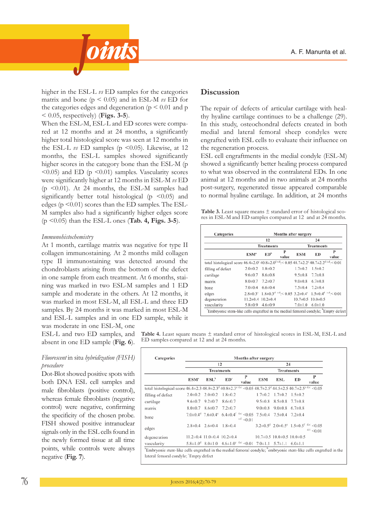

higher in the EsL-L *vs* ED samples for the categories matrix and bone ( $p \le 0.05$ ) and in ESL-M  $\nu s$  ED for the categories edges and degeneration ( $p \leq 0.01$  and p < 0.05, respectively) (**Figs. 3-5**).

When the EsL-M, EsL-L and ED scores were compared at 12 months and at 24 months, a significantly higher total histological score was seen at 12 months in the ESL-L  $\upsilon$  ED samples (p <0.05). Likewise, at 12 months, the EsL-L samples showed significantly higher scores in the category bone than the EsL-M (p  $<$  0.05) and ED (p  $<$  0.01) samples. Vascularity scores were significantly higher at 12 months in EsL-M *vs* ED (p  $\leq$ 0.01). At 24 months, the ESL-M samples had significantly better total histological ( $p \leq 0.05$ ) and edges ( $p \le 0.01$ ) scores than the ED samples. The ESL-M samples also had a significantly higher edges score (p <0.05) than the EsL-L ones (**Tab. 4, Figs. 3-5**).

#### *Immunohistochemistry*

At 1 month, cartilage matrix was negative for type II collagen immunostaining. At 2 months mild collagen type II immunostaining was detected around the chondroblasts arising from the bottom of the defect in one sample from each treatment. At 6 months, staining was marked in two EsL-M samples and 1 ED sample and moderate in the others. At 12 months, it was marked in most EsL-M, all EsL-L and three ED samples. By 24 months it was marked in most EsL-M and EsL-L samples and in one ED sample, while it

was moderate in one EsL-M, one EsL-L and two ED samples, and absent in one ED sample (**Fig. 6**).

#### *Fluorescent* in situ *hybridization (FISH) procedure*

Dot-Blot showed positive spots with both DnA EsL cell samples and male fibroblasts (positive control), whereas female fibroblasts (negative control) were negative, confirming the specificity of the chosen probe. FisH showed positive intranuclear signals only in the ESL cells found in the newly formed tissue at all time points, while controls were always negative (**Fig. 7**).

## **Discussion**

The repair of defects of articular cartilage with healthy hyaline cartilage continues to be a challenge (29). In this study, osteochondral defects created in both medial and lateral femoral sheep condyles were engrafted with EsL cells to evaluate their influence on the regeneration process.

EsL cell engraftments in the medial condyle (EsL-M) showed a significantly better healing process compared to what was observed in the contralateral EDs. In one animal at 12 months and in two animals at 24 months post-surgery, regenerated tissue appeared comparable to normal hyaline cartilage. In addition, at 24 months

**Table 3.** Least square means ± standard error of histological scores in EsL-M and ED samples compared at 12 and at 24 months.

| Categories                                                                                                       | Months after surgery   |                            |            |                             |                                                                                                                                             |            |  |
|------------------------------------------------------------------------------------------------------------------|------------------------|----------------------------|------------|-----------------------------|---------------------------------------------------------------------------------------------------------------------------------------------|------------|--|
|                                                                                                                  |                        | 12                         |            |                             | 24                                                                                                                                          |            |  |
|                                                                                                                  |                        | <b>Treatments</b>          |            | <b>Treatments</b>           |                                                                                                                                             |            |  |
|                                                                                                                  | <b>ESM<sup>*</sup></b> | ED <sup>b</sup>            | P<br>value | <b>ESM</b>                  | ED                                                                                                                                          | P<br>value |  |
| total histological score 46.4±2.0° 40.8±2.0 <sup>d c,d</sup> ;< 0.05 48.7±2.2° 40.7±2.2 <sup>d c,d</sup> ;< 0.01 |                        |                            |            |                             |                                                                                                                                             |            |  |
| filling of defect                                                                                                | $2.0 \pm 0.2$          | $1.8 \pm 0.2$              |            | $1.7 \pm 0.2$               | $1.5 \pm 0.2$                                                                                                                               |            |  |
| cartilage                                                                                                        | $9.6 \pm 0.7$          | $8.6 \pm 0.8$              |            | $9.5 \pm 0.8$ 7.7 $\pm 0.8$ |                                                                                                                                             |            |  |
| matrix                                                                                                           |                        | $8.0\pm0.7$ 7.2 $\pm0.7$   |            | $9.0\pm0.8$ 6.7 $\pm0.8$    |                                                                                                                                             |            |  |
| bone                                                                                                             | $7.0{\pm}0.4$          | $6.6 \pm 0.4$              |            | $7.5 \pm 0.4$ $7.2 \pm 0.4$ |                                                                                                                                             |            |  |
| edges                                                                                                            |                        |                            |            |                             | $2.8\pm0.3^{\circ}$ $1.8\pm0.3^{\circ}$ $\frac{c_4d_1}{c_2}$ $< 0.05$ $3.2\pm0.4^{\circ}$ $1.5\pm0.4^{\circ}$ $\frac{c_4d_1}{c_2}$ $< 0.01$ |            |  |
| degeneration                                                                                                     |                        | $11.2\pm0.4$ 10.2 $\pm0.4$ |            |                             | $10.7 \pm 0.5$ $10.0 \pm 0.5$                                                                                                               |            |  |
| vascularity                                                                                                      | $5.8 \pm 0.9$          | $4.6 \pm 0.9$              |            | $7.0 \pm 1.0$               | $6.0 \pm 1.0$                                                                                                                               |            |  |

**Table 4.** Least square means ± standard error of histological scores in EsL-M, EsL-L and ED samples compared at 12 and at 24 months.

| Categories                                                                                                                                                                     | Months after surgery |                                                                                                                    |                 |             |                                        |                                      |    |                                                                            |
|--------------------------------------------------------------------------------------------------------------------------------------------------------------------------------|----------------------|--------------------------------------------------------------------------------------------------------------------|-----------------|-------------|----------------------------------------|--------------------------------------|----|----------------------------------------------------------------------------|
|                                                                                                                                                                                | 12                   |                                                                                                                    |                 |             | 24<br><b>Treatments</b>                |                                      |    |                                                                            |
|                                                                                                                                                                                | <b>Treatments</b>    |                                                                                                                    |                 |             |                                        |                                      |    |                                                                            |
|                                                                                                                                                                                | ESM <sup>ª</sup>     | $ESL^b$                                                                                                            | ED <sup>c</sup> | P<br>value  | <b>ESM</b>                             | ESL                                  | ED | P<br>value                                                                 |
| total histological score $46.4\pm2.3$ $48.9\pm2.3$ <sup>d</sup> $40.8\pm2.3$ <sup>e d.e</sup> <0.05 $48.7\pm2.5$ <sup>d</sup> $44.5\pm2.5$ $40.7\pm2.5$ <sup>e d.e</sup> <0.05 |                      |                                                                                                                    |                 |             |                                        |                                      |    |                                                                            |
| filling of defect                                                                                                                                                              |                      | $2.0\pm0.2$ $2.0\pm0.2$                                                                                            | $1.8 \pm 0.2$   |             |                                        | $1.7\pm0.2$ $1.7\pm0.2$ $1.5\pm0.2$  |    |                                                                            |
| cartilage                                                                                                                                                                      |                      | $9.6 \pm 0.7$ $9.2 \pm 0.7$ $8.6 \pm 0.7$                                                                          |                 |             |                                        | $9.5\pm0.8$ $8.5\pm0.8$ $7.7\pm0.8$  |    |                                                                            |
| matrix                                                                                                                                                                         |                      | $8.0\pm0.7$ $8.6\pm0.7$ $7.2\pm0.7$                                                                                |                 |             |                                        | $9.0\pm0.8$ $9.0\pm0.8$ 6.7 $\pm0.8$ |    |                                                                            |
| bone                                                                                                                                                                           |                      | 7.0 $\pm$ 0.4 $\pm$ 7.6 $\pm$ 0.4 $\pm$ 6.4 $\pm$ 0.4 $\pm$ $\pm$ 6.0.05 7.5 $\pm$ 0.4 7.5 $\pm$ 0.4 7.2 $\pm$ 0.4 |                 | e.f. < 0.01 |                                        |                                      |    |                                                                            |
| edges                                                                                                                                                                          |                      | $2.8\pm0.4$ $2.6\pm0.4$ $1.8\pm0.4$                                                                                |                 |             |                                        |                                      |    | $3.2 \pm 0.5^d$ $2.0 \pm 0.5^e$ $1.5 \pm 0.5^f$ d.e. < 0.05<br>d.f. < 0.01 |
| degeneration                                                                                                                                                                   |                      | $11.2\pm0.4$ $11.0\pm0.4$ $10.2\pm0.4$                                                                             |                 |             | $10.7\pm0.5$ $10.0\pm0.5$ $10.0\pm0.5$ |                                      |    |                                                                            |
| vascularity                                                                                                                                                                    |                      | $5.8\pm1.0^{d}$ $8.0\pm1.0$ $4.6\pm1.0^{e}$ $4.e^{-1}$ $0.01$ $7.0\pm1.1$ $5.7\pm1.1$ $6.0\pm1.1$                  |                 |             |                                        |                                      |    |                                                                            |

lateral femoral condyle; 'Empty defect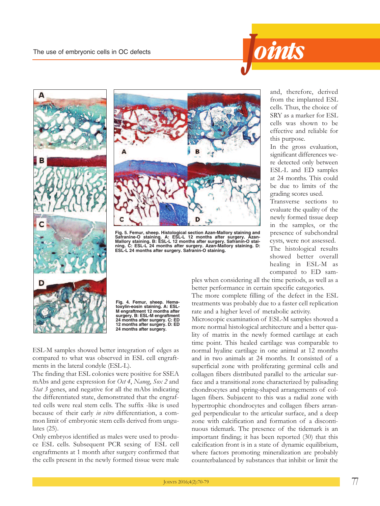





Fig. 5. Femur, sheep. Histological section Azan-Mallory staining and<br>Safranine-O staining. A: ESL-L 12 months after surgery. Azan-Mallory staining. B: ESL-L 12 months after surgery. Safranin-O stai-<br>ning. C: ESL-L 24 month



Fig. 4. Femur, sheep. Hema-<br>toxylin-eosin staining. A: ESL-<br>M engraftment 12 months after<br>surgery. B: ESL-M engraftment **24 months after surgery. C: ED 12 months after surgery. D: ED 24 months after surgery.**

EsL-M samples showed better integration of edges as compared to what was observed in EsL cell engraftments in the lateral condyle (EsL-L).

The finding that ESL colonies were positive for SSEA mAbs and gene expression for *Oct 4*, *Nanog*, *Sox 2* and *Stat 3* genes, and negative for all the mAbs indicating the differentiated state, demonstrated that the engrafted cells were real stem cells. The suffix -like is used because of their early *in vitro* differentiation, a common limit of embryonic stem cells derived from ungulates (25).

only embryos identified as males were used to produce EsL cells. subsequent PCR sexing of EsL cell engraftments at 1 month after surgery confirmed that the cells present in the newly formed tissue were male and, therefore, derived from the implanted EsL cells. Thus, the choice of sRY as a marker for EsL cells was shown to be effective and reliable for this purpose.

In the gross evaluation, significant differences were detected only between EsL-L and ED samples at 24 months. This could be due to limits of the grading scores used.

Transverse sections to evaluate the quality of the newly formed tissue deep in the samples, or the presence of subchondral cysts, were not assessed.

The histological results showed better overall healing in EsL-M as compared to ED sam-

ples when considering all the time periods, as well as a better performance in certain specific categories. The more complete filling of the defect in the ESL treatments was probably due to a faster cell replication rate and a higher level of metabolic activity.

Microscopic examination of EsL-M samples showed a more normal histological architecture and a better quality of matrix in the newly formed cartilage at each time point. This healed cartilage was comparable to normal hyaline cartilage in one animal at 12 months and in two animals at 24 months. it consisted of a superficial zone with proliferating germinal cells and collagen fibers distributed parallel to the articular surface and a transitional zone characterized by palisading chondrocytes and spring-shaped arrangements of collagen fibers. subjacent to this was a radial zone with hypertrophic chondrocytes and collagen fibers arranged perpendicular to the articular surface, and a deep zone with calcification and formation of a discontinuous tidemark. The presence of the tidemark is an important finding; it has been reported (30) that this calcification front is in a state of dynamic equilibrium, where factors promoting mineralization are probably counterbalanced by substances that inhibit or limit the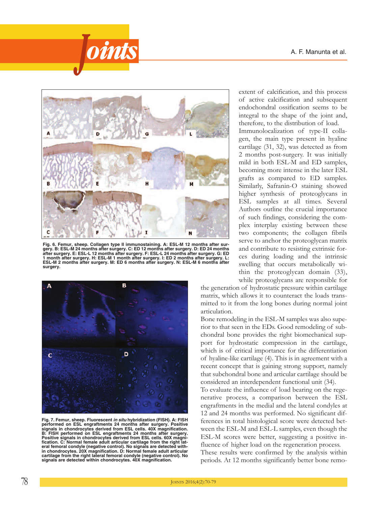



Fig. 6. Femur, sheep. Collagen type II immunostaining. A: ESL-M 12 months after sur-<br>gery. B: ESL-M 24 months after surgery. C: ED 12 months after surgery. D: ED 24 months<br>after surgery. E: ESL-L 12 months after surgery. F ESL-M 2 months after surgery. M: ED 6 months after surgery. N: ESL-M 6 months after<br>surgery.



**Fig. 7. Femur, sheep. Fluorescent** *in situ* **hybridization (FISH). A: FISH performed** on **ESL engraftments** 24 months after surgery. Positive signals in chondrocytes derived from ESL cells. 40X magnification. B: FISH performed on ESL engraftments 24 months after surgery. Desitive signals in chondrocytes derived from ESL cells. 60X magni-<br>fication. C: Normal female adult articular cartilage from the right lat-<br>eral femoral condyle (negative control). No signals are detected with**signals area area area in chondrocytes.** 20X magnification. D: Normal female adult articular cartilage from the right lateral femoral condyle (negative control). No signals are detected within chondrocytes. 40X magnific

extent of calcification, and this process of active calcification and subsequent endochondral ossification seems to be integral to the shape of the joint and, therefore, to the distribution of load.

Immunolocalization of type-II collagen, the main type present in hyaline cartilage (31, 32), was detected as from 2 months post-surgery. it was initially mild in both EsL-M and ED samples, becoming more intense in the later EsL grafts as compared to ED samples. Similarly, Safranin-O staining showed higher synthesis of proteoglycans in EsL samples at all times. several Authors outline the crucial importance of such findings, considering the complex interplay existing between these two components; the collagen fibrils serve to anchor the proteoglycan matrix and contribute to resisting extrinsic forces during loading and the intrinsic swelling that occurs metabolically within the proteoglycan domain (33), while proteoglycans are responsible for

the generation of hydrostatic pressure within cartilage matrix, which allows it to counteract the loads transmitted to it from the long bones during normal joint articulation.

Bone remodeling in the EsL-M samples was also superior to that seen in the EDs. Good remodeling of subchondral bone provides the right biomechanical support for hydrostatic compression in the cartilage, which is of critical importance for the differentiation of hyaline-like cartilage (4). This is in agreement with a recent concept that is gaining strong support, namely that subchondral bone and articular cartilage should be considered an interdependent functional unit (34).

To evaluate the influence of load bearing on the regenerative process, a comparison between the EsL engraftments in the medial and the lateral condyles at 12 and 24 months was performed. No significant differences in total histological score were detected between the EsL-M and EsL-L samples, even though the EsL-M scores were better, suggesting a positive influence of higher load on the regeneration process. These results were confirmed by the analysis within periods. At 12 months significantly better bone remo-